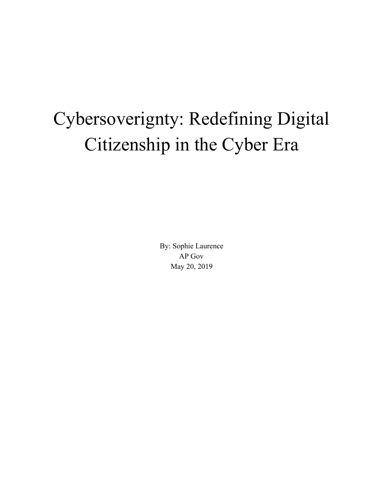## Cybersoverignty: Redefining Digital Citizenship in the Cyber Era

By: Sophie Laurence AP Gov May 20, 2019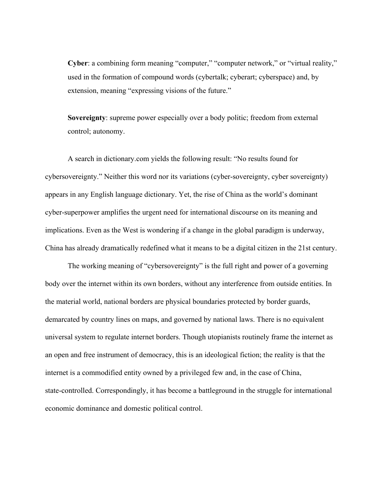**Cyber:** a combining form meaning "computer," "computer network," or "virtual reality," used in the formation of compound words (cybertalk; cyberart; cyberspace) and, by extension, meaning "expressing visions of the future."

**Sovereignty**: supreme power especially over a body politic; freedom from external control; autonomy.

A search in dictionary.com yields the following result: "No results found for cybersovereignty." Neither this word nor its variations (cyber-sovereignty, cyber sovereignty) appears in any English language dictionary. Yet, the rise of China as the world's dominant cyber-superpower amplifies the urgent need for international discourse on its meaning and implications. Even as the West is wondering if a change in the global paradigm is underway, China has already dramatically redefined what it means to be a digital citizen in the 21st century.

The working meaning of "cybersovereignty" is the full right and power of a governing body over the internet within its own borders, without any interference from outside entities. In the material world, national borders are physical boundaries protected by border guards, demarcated by country lines on maps, and governed by national laws. There is no equivalent universal system to regulate internet borders. Though utopianists routinely frame the internet as an open and free instrument of democracy, this is an ideological fiction; the reality is that the internet is a commodified entity owned by a privileged few and, in the case of China, state-controlled. Correspondingly, it has become a battleground in the struggle for international economic dominance and domestic political control.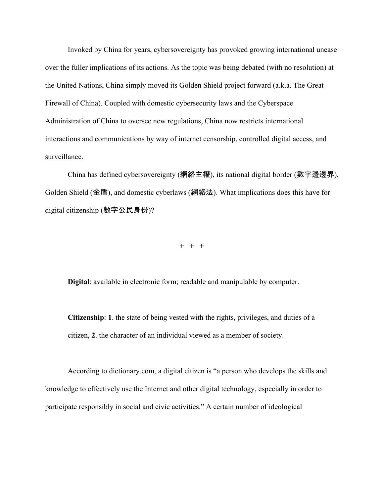Invoked by China for years, cybersovereignty has provoked growing international unease over the fuller implications of its actions. As the topic was being debated (with no resolution) at the United Nations, China simply moved its Golden Shield project forward (a.k.a. The Great Firewall of China). Coupled with domestic cybersecurity laws and the Cyberspace Administration of China to oversee new regulations, China now restricts international interactions and communications by way of internet censorship, controlled digital access, and surveillance.

China has defined cybersovereignty (網絡主權), its national digital border (數字邊邊界), Golden Shield (金盾), and domestic cyberlaws (網絡法). What implications does this have for digital citizenship (數字公民身份)?

**+ + +**

**Digital**: available in electronic form; readable and manipulable by computer.

**Citizenship**: **1**. the state of being vested with the rights, privileges, and duties of a citizen, **2**. the character of an individual viewed as a member of society.

According to dictionary.com, a digital citizen is "a person who develops the skills and knowledge to effectively use the Internet and other digital technology, especially in order to participate responsibly in social and civic activities." A certain number of ideological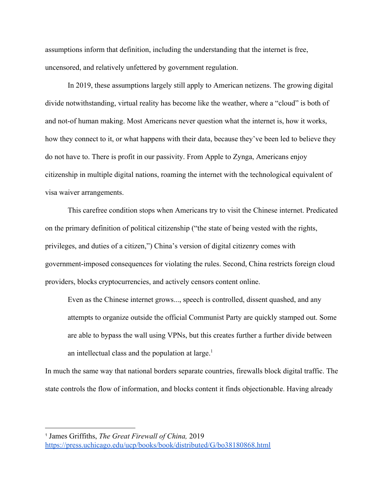assumptions inform that definition, including the understanding that the internet is free, uncensored, and relatively unfettered by government regulation.

In 2019, these assumptions largely still apply to American netizens. The growing digital divide notwithstanding, virtual reality has become like the weather, where a "cloud" is both of and not-of human making. Most Americans never question what the internet is, how it works, how they connect to it, or what happens with their data, because they've been led to believe they do not have to. There is profit in our passivity. From Apple to Zynga, Americans enjoy citizenship in multiple digital nations, roaming the internet with the technological equivalent of visa waiver arrangements.

This carefree condition stops when Americans try to visit the Chinese internet. Predicated on the primary definition of political citizenship ("the state of being vested with the rights, privileges, and duties of a citizen,") China's version of digital citizenry comes with government-imposed consequences for violating the rules. Second, China restricts foreign cloud providers, blocks cryptocurrencies, and actively censors content online.

Even as the Chinese internet grows..., speech is controlled, dissent quashed, and any attempts to organize outside the official Communist Party are quickly stamped out. Some are able to bypass the wall using VPNs, but this creates further a further divide between an intellectual class and the population at large.<sup>1</sup>

In much the same way that national borders separate countries, firewalls block digital traffic. The state controls the flow of information, and blocks content it finds objectionable. Having already

<sup>1</sup> James Griffiths, *The Great Firewall of China,* 2019 <https://press.uchicago.edu/ucp/books/book/distributed/G/bo38180868.html>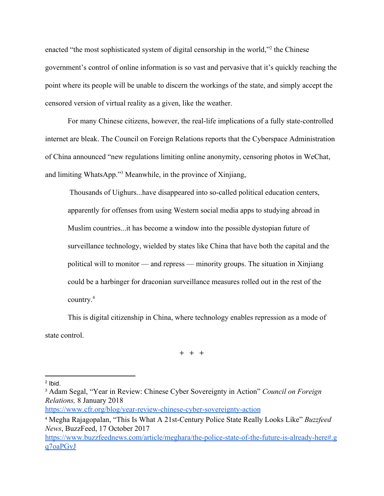enacted "the most sophisticated system of digital censorship in the world,"<sup>2</sup> the Chinese government's control of online information is so vast and pervasive that it's quickly reaching the point where its people will be unable to discern the workings of the state, and simply accept the censored version of virtual reality as a given, like the weather.

For many Chinese citizens, however, the real-life implications of a fully state-controlled internet are bleak. The Council on Foreign Relations reports that the Cyberspace Administration of China announced "new regulations limiting onlin[e](https://techcrunch.com/2017/08/27/china-doubles-down-on-real-name-registration-laws-forbidding-anonymous-online-posts/) anonymity, censoring photos in WeChat, and limiting WhatsApp. $\cdot$ <sup>3</sup> Meanwhile, in the province of Xinjiang,

 Thousands of Uighurs...have disappeared into so-called political education centers, apparently for offenses from using Western social media apps to studying abroad in Muslim countries...it has become a window into the possible dystopian future of surveillance technology, wielded by states like China that have both the capital and the political will to monitor — and repress — minority groups. The situation in Xinjiang could be a harbinger for draconian surveillance measures rolled out in the rest of the country.<sup>4</sup>

This is digital citizenship in China, where technology enables repression as a mode of state control.

**+ + +**

<https://www.cfr.org/blog/year-review-chinese-cyber-sovereignty-action>

 $2$  Ibid.

<sup>3</sup> Adam Segal, "Year in Review: Chinese Cyber Sovereignty in Action" *Council on Foreign Relations,* 8 January 2018

<sup>4</sup> Megha Rajagopalan, "This Is What A 21st-Century Police State Really Looks Like" *Buzzfeed News*, BuzzFeed, 17 October 2017

[https://www.buzzfeednews.com/article/meghara/the-police-state-of-the-future-is-already-here#.g](https://www.buzzfeednews.com/article/meghara/the-police-state-of-the-future-is-already-here#.gq7oaPGvJ) [q7oaPGvJ](https://www.buzzfeednews.com/article/meghara/the-police-state-of-the-future-is-already-here#.gq7oaPGvJ)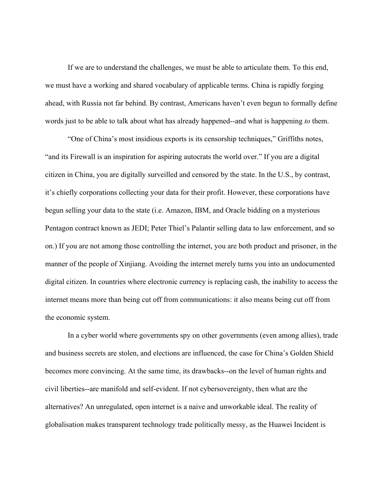If we are to understand the challenges, we must be able to articulate them. To this end, we must have a working and shared vocabulary of applicable terms. China is rapidly forging ahead, with Russia not far behind. By contrast, Americans haven't even begun to formally define words just to be able to talk about what has already happened--and what is happening *to* them.

"One of China's most insidious exports is its censorship techniques," Griffiths notes, "and its Firewall is an inspiration for aspiring autocrats the world over." If you are a digital citizen in China, you are digitally surveilled and censored by the state. In the U.S., by contrast, it's chiefly corporations collecting your data for their profit. However, these corporations have begun selling your data to the state (i.e. Amazon, IBM, and Oracle bidding on a mysterious Pentagon contract known as JEDI; Peter Thiel's Palantir selling data to law enforcement, and so on.) If you are not among those controlling the internet, you are both product and prisoner, in the manner of the people of Xinjiang. Avoiding the internet merely turns you into an undocumented digital citizen. In countries where electronic currency is replacing cash, the inability to access the internet means more than being cut off from communications: it also means being cut off from the economic system.

In a cyber world where governments spy on other governments (even among allies), trade and business secrets are stolen, and elections are influenced, the case for China's Golden Shield becomes more convincing. At the same time, its drawbacks--on the level of human rights and civil liberties--are manifold and self-evident. If not cybersovereignty, then what are the alternatives? An unregulated, open internet is a naive and unworkable ideal. The reality of globalisation makes transparent technology trade politically messy, as the Huawei Incident is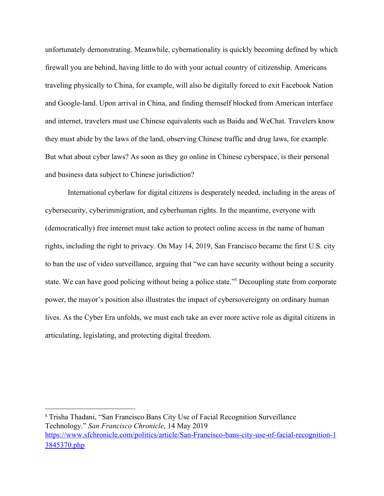unfortunately demonstrating. Meanwhile, cybernationality is quickly becoming defined by which firewall you are behind, having little to do with your actual country of citizenship. Americans traveling physically to China, for example, will also be digitally forced to exit Facebook Nation and Google-land. Upon arrival in China, and finding themself blocked from American interface and internet, travelers must use Chinese equivalents such as Baidu and WeChat. Travelers know they must abide by the laws of the land, observing Chinese traffic and drug laws, for example. But what about cyber laws? As soon as they go online in Chinese cyberspace, is their personal and business data subject to Chinese jurisdiction?

International cyberlaw for digital citizens is desperately needed, including in the areas of cybersecurity, cyberimmigration, and cyberhuman rights. In the meantime, everyone with (democratically) free internet must take action to protect online access in the name of human rights, including the right to privacy. On May 14, 2019, San Francisco became the first U.S. city to ban the use of video surveillance, arguing that "we can have security without being a security state. We can have good policing without being a police state."<sup>5</sup> Decoupling state from corporate power, the mayor's position also illustrates the impact of cybersovereignty on ordinary human lives. As the Cyber Era unfolds, we must each take an ever more active role as digital citizens in articulating, legislating, and protecting digital freedom.

<sup>5</sup> Trisha Thadani, "San Francisco Bans City Use of Facial Recognition Surveillance Technology." *San Francisco Chronicle*, 14 May 2019 [https://www.sfchronicle.com/politics/article/San-Francisco-bans-city-use-of-facial-recognition-1](https://www.sfchronicle.com/politics/article/San-Francisco-bans-city-use-of-facial-recognition-13845370.php) [3845370.php](https://www.sfchronicle.com/politics/article/San-Francisco-bans-city-use-of-facial-recognition-13845370.php)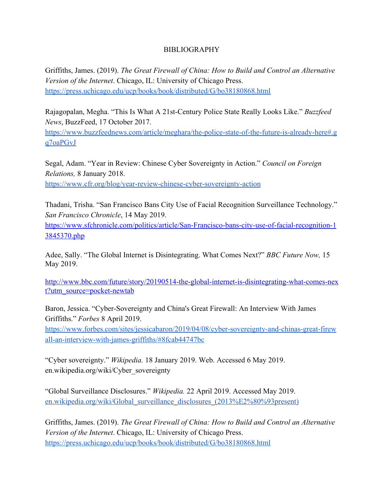## BIBLIOGRAPHY

Griffiths, James. (2019). *The Great Firewall of China: How to Build and Control an Alternative Version of the Internet*. Chicago, IL: University of Chicago Press. <https://press.uchicago.edu/ucp/books/book/distributed/G/bo38180868.html>

Rajagopalan, Megha. "This Is What A 21st-Century Police State Really Looks Like." *Buzzfeed News*, BuzzFeed, 17 October 2017.

[https://www.buzzfeednews.com/article/meghara/the-police-state-of-the-future-is-already-here#.g](https://www.buzzfeednews.com/article/meghara/the-police-state-of-the-future-is-already-here#.gq7oaPGvJ) [q7oaPGvJ](https://www.buzzfeednews.com/article/meghara/the-police-state-of-the-future-is-already-here#.gq7oaPGvJ)

Segal, Adam. "Year in Review: Chinese Cyber Sovereignty in Action." *Council on Foreign Relations,* 8 January 2018. <https://www.cfr.org/blog/year-review-chinese-cyber-sovereignty-action>

Thadani, Trisha. "San Francisco Bans City Use of Facial Recognition Surveillance Technology." *San Francisco Chronicle*, 14 May 2019. [https://www.sfchronicle.com/politics/article/San-Francisco-bans-city-use-of-facial-recognition-1](https://www.sfchronicle.com/politics/article/San-Francisco-bans-city-use-of-facial-recognition-13845370.php)

[3845370.php](https://www.sfchronicle.com/politics/article/San-Francisco-bans-city-use-of-facial-recognition-13845370.php)

Adee, Sally. "The Global Internet is Disintegrating. What Comes Next?" *BBC Future Now,* 15 May 2019.

[http://www.bbc.com/future/story/20190514-the-global-internet-is-disintegrating-what-comes-nex](http://www.bbc.com/future/story/20190514-the-global-internet-is-disintegrating-what-comes-next?utm_source=pocket-newtab) [t?utm\\_source=pocket-newtab](http://www.bbc.com/future/story/20190514-the-global-internet-is-disintegrating-what-comes-next?utm_source=pocket-newtab)

Baron, Jessica. "Cyber-Sovereignty and China's Great Firewall: An Interview With James Griffiths." *Forbes* 8 April 2019.

[https://www.forbes.com/sites/jessicabaron/2019/04/08/cyber-sovereignty-and-chinas-great-firew](https://www.forbes.com/sites/jessicabaron/2019/04/08/cyber-sovereignty-and-chinas-great-firewall-an-interview-with-james-griffiths/#8fcab44747bc) [all-an-interview-with-james-griffiths/#8fcab44747bc](https://www.forbes.com/sites/jessicabaron/2019/04/08/cyber-sovereignty-and-chinas-great-firewall-an-interview-with-james-griffiths/#8fcab44747bc)

"Cyber sovereignty." *Wikipedia.* 18 January 2019. Web. Accessed 6 May 2019. en.wikipedia.org/wiki/Cyber\_sovereignty

"Global Surveillance Disclosures." *Wikipedia.* 22 April 2019. Accessed May 2019. [en.wikipedia.org/wiki/Global\\_surveillance\\_disclosures\\_\(2013%E2%80%93present\)](https://en.wikipedia.org/wiki/Global_surveillance_disclosures_(2013%E2%80%93present))

Griffiths, James. (2019). *The Great Firewall of China: How to Build and Control an Alternative Version of the Internet*. Chicago, IL: University of Chicago Press. <https://press.uchicago.edu/ucp/books/book/distributed/G/bo38180868.html>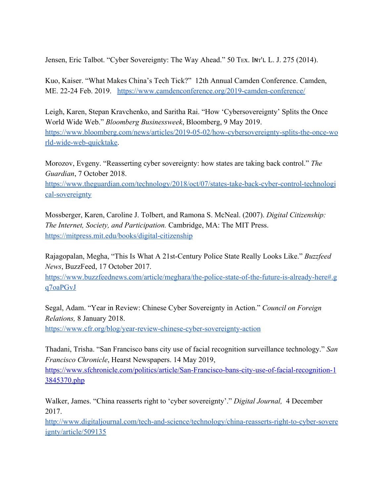Jensen, Eric Talbot. "Cyber Sovereignty: The Way Ahead." 50 TEX. INT'L L. J. 275 (2014).

Kuo, Kaiser. "What Makes China's Tech Tick?" 12th Annual Camden Conference. Camden, ME. 22-24 Feb. 2019. <https://www.camdenconference.org/2019-camden-conference/>

Leigh, Karen, Stepan Kravchenko, and Saritha Rai. "How 'Cybersovereignty' Splits the Once World Wide Web." *Bloomberg Businessweek*, Bloomberg, 9 May 2019. [https://www.bloomberg.com/news/articles/2019-05-02/how-cybersovereignty-splits-the-once-wo](https://www.bloomberg.com/news/articles/2019-05-02/how-cybersovereignty-splits-the-once-world-wide-web-quicktake) [rld-wide-web-quicktake.](https://www.bloomberg.com/news/articles/2019-05-02/how-cybersovereignty-splits-the-once-world-wide-web-quicktake)

Morozov, Evgeny. "Reasserting cyber sovereignty: how states are taking back control." *The Guardian*, 7 October 2018.

[https://www.theguardian.com/technology/2018/oct/07/states-take-back-cyber-control-technologi](https://www.theguardian.com/technology/2018/oct/07/states-take-back-cyber-control-technological-sovereignty) [cal-sovereignty](https://www.theguardian.com/technology/2018/oct/07/states-take-back-cyber-control-technological-sovereignty)

Mossberger, Karen, Caroline J. Tolbert, and Ramona S. McNeal. (2007). *Digital Citizenship: The Internet, Society, and Participation.* Cambridge, MA: The MIT Press. <https://mitpress.mit.edu/books/digital-citizenship>

Rajagopalan, Megha, "This Is What A 21st-Century Police State Really Looks Like." *Buzzfeed News*, BuzzFeed, 17 October 2017.

[https://www.buzzfeednews.com/article/meghara/the-police-state-of-the-future-is-already-here#.g](https://www.buzzfeednews.com/article/meghara/the-police-state-of-the-future-is-already-here#.gq7oaPGvJ) [q7oaPGvJ](https://www.buzzfeednews.com/article/meghara/the-police-state-of-the-future-is-already-here#.gq7oaPGvJ)

Segal, Adam. "Year in Review: Chinese Cyber Sovereignty in Action." *Council on Foreign Relations,* 8 January 2018.

<https://www.cfr.org/blog/year-review-chinese-cyber-sovereignty-action>

Thadani, Trisha. "San Francisco bans city use of facial recognition surveillance technology." *San Francisco Chronicle*, Hearst Newspapers. 14 May 2019, [https://www.sfchronicle.com/politics/article/San-Francisco-bans-city-use-of-facial-recognition-1](https://www.sfchronicle.com/politics/article/San-Francisco-bans-city-use-of-facial-recognition-13845370.php)

[3845370.php](https://www.sfchronicle.com/politics/article/San-Francisco-bans-city-use-of-facial-recognition-13845370.php)

Walker, James. "China reasserts right to 'cyber sovereignty'." *Digital Journal,* 4 December 2017.

[http://www.digitaljournal.com/tech-and-science/technology/china-reasserts-right-to-cyber-sovere](http://www.digitaljournal.com/tech-and-science/technology/china-reasserts-right-to-cyber-sovereignty/article/509135) [ignty/article/509135](http://www.digitaljournal.com/tech-and-science/technology/china-reasserts-right-to-cyber-sovereignty/article/509135)